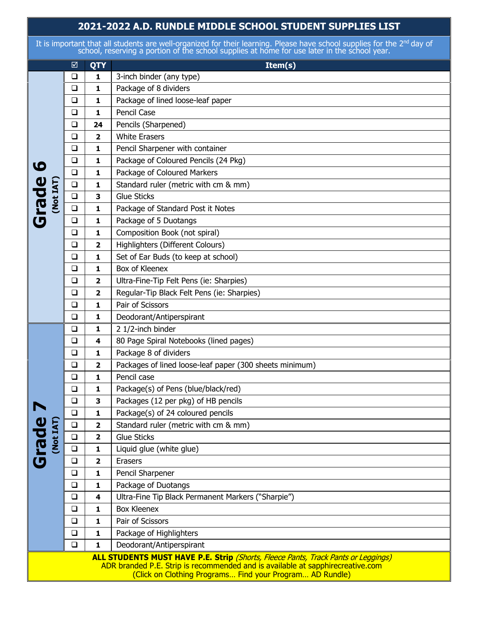## **2021-2022 A.D. RUNDLE MIDDLE SCHOOL STUDENT SUPPLIES LIST**

It is important that all students are well-organized for their learning. Please have school supplies for the 2<sup>nd</sup> day of school, reserving a portion of the school supplies at home for use later in the school year.

|                       |              | ☑      | QTY                     | Item(s)                                                                                                                                                                                                                                |
|-----------------------|--------------|--------|-------------------------|----------------------------------------------------------------------------------------------------------------------------------------------------------------------------------------------------------------------------------------|
|                       | <b>Grade</b> | $\Box$ | 1                       | 3-inch binder (any type)                                                                                                                                                                                                               |
|                       |              | $\Box$ | 1                       | Package of 8 dividers                                                                                                                                                                                                                  |
|                       |              | $\Box$ | 1                       | Package of lined loose-leaf paper                                                                                                                                                                                                      |
|                       |              | $\Box$ | 1                       | Pencil Case                                                                                                                                                                                                                            |
|                       |              | $\Box$ | 24                      | Pencils (Sharpened)                                                                                                                                                                                                                    |
|                       |              | $\Box$ | $\overline{\mathbf{2}}$ | <b>White Erasers</b>                                                                                                                                                                                                                   |
|                       |              | $\Box$ | 1                       | Pencil Sharpener with container                                                                                                                                                                                                        |
| $\boldsymbol{\omega}$ |              | $\Box$ | 1                       | Package of Coloured Pencils (24 Pkg)                                                                                                                                                                                                   |
|                       |              | $\Box$ | 1                       | Package of Coloured Markers                                                                                                                                                                                                            |
|                       |              | $\Box$ | 1                       | Standard ruler (metric with cm & mm)                                                                                                                                                                                                   |
|                       |              | $\Box$ | 3                       | <b>Glue Sticks</b>                                                                                                                                                                                                                     |
|                       |              | $\Box$ | 1                       | Package of Standard Post it Notes                                                                                                                                                                                                      |
|                       |              | $\Box$ | 1                       | Package of 5 Duotangs                                                                                                                                                                                                                  |
|                       |              | $\Box$ | 1                       | Composition Book (not spiral)                                                                                                                                                                                                          |
|                       |              | $\Box$ | $\mathbf{2}$            | Highlighters (Different Colours)                                                                                                                                                                                                       |
|                       |              | $\Box$ | 1                       | Set of Ear Buds (to keep at school)                                                                                                                                                                                                    |
|                       |              | $\Box$ | 1                       | Box of Kleenex                                                                                                                                                                                                                         |
|                       |              | $\Box$ | 2                       | Ultra-Fine-Tip Felt Pens (ie: Sharpies)                                                                                                                                                                                                |
|                       |              | $\Box$ | 2                       | Regular-Tip Black Felt Pens (ie: Sharpies)                                                                                                                                                                                             |
|                       |              | $\Box$ | 1                       | Pair of Scissors                                                                                                                                                                                                                       |
|                       |              | $\Box$ | 1                       | Deodorant/Antiperspirant                                                                                                                                                                                                               |
|                       | <b>Grade</b> | ❏      | 1                       | 2 1/2-inch binder                                                                                                                                                                                                                      |
|                       |              | $\Box$ | 4                       | 80 Page Spiral Notebooks (lined pages)                                                                                                                                                                                                 |
|                       |              | $\Box$ | 1                       | Package 8 of dividers                                                                                                                                                                                                                  |
|                       |              | $\Box$ | $\overline{\mathbf{2}}$ | Packages of lined loose-leaf paper (300 sheets minimum)                                                                                                                                                                                |
|                       |              | $\Box$ | 1                       | Pencil case                                                                                                                                                                                                                            |
|                       |              | $\Box$ | 1                       | Package(s) of Pens (blue/black/red)                                                                                                                                                                                                    |
|                       |              | $\Box$ | 3                       | Packages (12 per pkg) of HB pencils                                                                                                                                                                                                    |
|                       |              | $\Box$ | 1                       | Package(s) of 24 coloured pencils                                                                                                                                                                                                      |
|                       |              | $\Box$ | 2                       | Standard ruler (metric with cm & mm)                                                                                                                                                                                                   |
|                       |              | $\Box$ | $\overline{\mathbf{2}}$ | <b>Glue Sticks</b>                                                                                                                                                                                                                     |
|                       |              | $\Box$ | 1                       | Liquid glue (white glue)                                                                                                                                                                                                               |
|                       |              | $\Box$ | $\overline{\mathbf{2}}$ | Erasers                                                                                                                                                                                                                                |
|                       |              | $\Box$ | 1                       | Pencil Sharpener                                                                                                                                                                                                                       |
|                       |              | $\Box$ | 1                       | Package of Duotangs                                                                                                                                                                                                                    |
|                       |              | $\Box$ | 4                       | Ultra-Fine Tip Black Permanent Markers ("Sharpie")                                                                                                                                                                                     |
|                       |              | ❏      | 1                       | <b>Box Kleenex</b>                                                                                                                                                                                                                     |
|                       |              | $\Box$ | 1                       | Pair of Scissors                                                                                                                                                                                                                       |
|                       |              | $\Box$ | 1                       | Package of Highlighters                                                                                                                                                                                                                |
|                       |              | $\Box$ | 1                       | Deodorant/Antiperspirant                                                                                                                                                                                                               |
|                       |              |        |                         | <b>ALL STUDENTS MUST HAVE P.E. Strip</b> (Shorts, Fleece Pants, Track Pants or Leggings)<br>ADR branded P.E. Strip is recommended and is available at sapphirecreative.com<br>(Click on Clothing Programs Find your Program AD Rundle) |